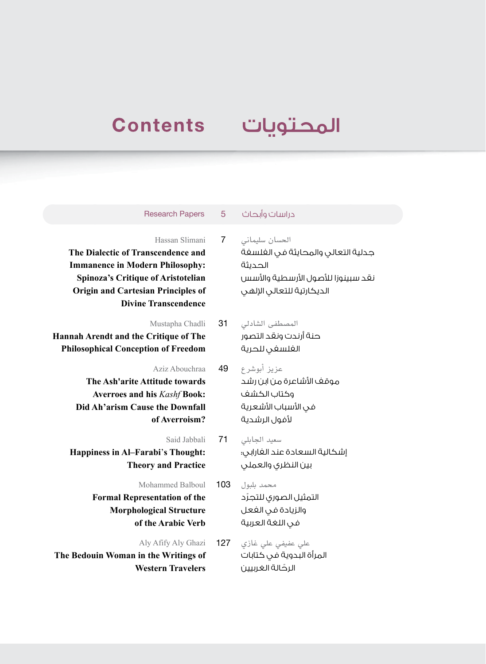## **Contents**

## المحتويات

## دراسات وأبحاث 5 Papers Research

Hassan Slimani 7 **The Dialectic of Transcendence and Immanence in Modern Philosophy: Spinoza's Critique of Aristotelian Origin and Cartesian Principles of Divine Transcendence**

Mustapha Chadli 31 **Hannah Arendt and the Critique of The Philosophical Conception of Freedom**

> Aziz Abouchraa 49 **The Ash'arite Attitude towards Averroes and his** *Kashf* **Book: Did Ah'arism Cause the Downfall of Averroism?**

Said Jabbali 71 **Happiness in Al–Farabi**'**s Thought: Theory and Practice**

Mohammed Balboul 103

**Formal Representation of the Morphological Structure of the Arabic Verb**

Aly Afify Aly Ghazi **The Bedouin Woman in the Writings of Western Travelers**

الحسان سليماني جدلية التعالي والمحايثة في الفلسفة الحديثة نقد سبينوزا للأصول الأرسطية والأسس الديكارتية للتعالى الإلهي

- المصطفى الشادلي حنة أرندت ونقد التصور الفلسفي للحرية
- عزيز أبوشرع موقف الأشاعرة من ابن رشد وكتاب الكشف في الأسباب الأشعرية لأفول الرشدية
- سعيد الجابلي إشكالية السعادة عند الفارابي: بين النظري والعملي
- محمد بلبول ّ التمثيل الصوري للتجرد والزيادة في الفعل في اللغة العربية
- علي عفيفي علي غازي المرأة البدوية في كتابات ّ الرحالة الغربيين